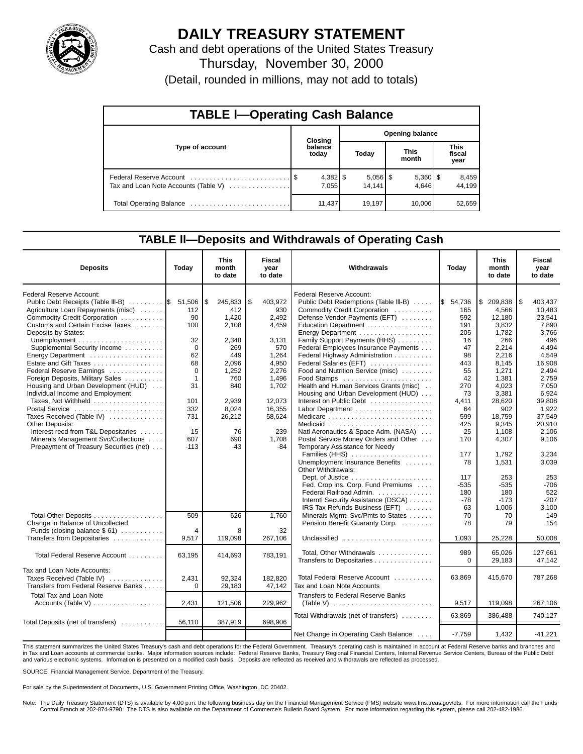

# **DAILY TREASURY STATEMENT**

Cash and debt operations of the United States Treasury Thursday, November 30, 2000 (Detail, rounded in millions, may not add to totals)

| <b>TABLE I-Operating Cash Balance</b> |  |                  |                        |                      |  |                       |  |                        |  |  |
|---------------------------------------|--|------------------|------------------------|----------------------|--|-----------------------|--|------------------------|--|--|
|                                       |  | Closing          | <b>Opening balance</b> |                      |  |                       |  |                        |  |  |
| Type of account                       |  | balance<br>today |                        | Today                |  | <b>This</b><br>month  |  | This<br>fiscal<br>year |  |  |
| Tax and Loan Note Accounts (Table V)  |  | 7.055            |                        | $5,056$ \$<br>14.141 |  | $5,360$   \$<br>4.646 |  | 8,459<br>44.199        |  |  |
|                                       |  | 11,437           |                        | 19.197               |  | 10,006                |  | 52,659                 |  |  |

#### **TABLE ll—Deposits and Withdrawals of Operating Cash**

| <b>Deposits</b>                         | Today        | This<br>month<br>to date | <b>Fiscal</b><br>year<br>to date | Withdrawals                                                           | Today                | <b>This</b><br>month<br>to date | Fiscal<br>year<br>to date |
|-----------------------------------------|--------------|--------------------------|----------------------------------|-----------------------------------------------------------------------|----------------------|---------------------------------|---------------------------|
| Federal Reserve Account:                |              |                          |                                  | Federal Reserve Account:                                              |                      |                                 |                           |
| Public Debt Receipts (Table III-B)  S   | 51,506       | \$<br>245,833            | 5<br>403,972                     | Public Debt Redemptions (Table III-B)                                 | $\frac{1}{5}$ 54,736 | \$<br>209,838                   | 1\$<br>403,437            |
| Agriculture Loan Repayments (misc)      | 112          | 412                      | 930                              | Commodity Credit Corporation                                          | 165                  | 4.566                           | 10,483                    |
| Commodity Credit Corporation            | 90           | 1,420                    | 2,492                            | Defense Vendor Payments (EFT)                                         | 592                  | 12,180                          | 23,541                    |
| Customs and Certain Excise Taxes        | 100          | 2,108                    | 4,459                            | Education Department                                                  | 191                  | 3.832                           | 7,890                     |
| Deposits by States:                     |              |                          |                                  |                                                                       | 205                  | 1,782                           | 3,766                     |
|                                         | 32           | 2,348                    | 3,131                            | Family Support Payments (HHS)                                         | 16                   | 266                             | 496                       |
| Supplemental Security Income            | $\Omega$     | 269                      | 570                              | Federal Employees Insurance Payments                                  | 47                   | 2,214                           | 4.494                     |
| Energy Department                       | 62           | 449                      | 1,264                            | Federal Highway Administration                                        | 98                   | 2,216                           | 4.549                     |
| Estate and Gift Taxes                   | 68           | 2.096                    | 4,950                            | Federal Salaries (EFT)                                                | 443                  | 8.145                           | 16.908                    |
| Federal Reserve Earnings                | 0            | 1,252                    | 2,276                            | Food and Nutrition Service (misc)                                     | 55                   | 1,271                           | 2,494                     |
| Foreign Deposits, Military Sales        | $\mathbf{1}$ | 760                      | 1,496                            | Food Stamps                                                           | 42                   | 1,381                           | 2,759                     |
| Housing and Urban Development (HUD)     | 31           | 840                      | 1,702                            | Health and Human Services Grants (misc)                               | 270                  | 4,023                           | 7,050                     |
| Individual Income and Employment        |              |                          |                                  | Housing and Urban Development (HUD)                                   | 73                   | 3.381                           | 6,924                     |
| Taxes, Not Withheld                     | 101          | 2,939                    | 12.073                           | Interest on Public Debt                                               | 4,411                | 28,620                          | 39.808                    |
| Postal Service                          | 332          | 8,024                    | 16,355                           |                                                                       | 64                   | 902                             | 1.922                     |
| Taxes Received (Table IV)               | 731          | 26,212                   | 58,624                           |                                                                       | 599                  | 18.759                          | 37.549                    |
| Other Deposits:                         |              |                          |                                  |                                                                       | 425                  | 9,345                           | 20,910                    |
| Interest recd from T&L Depositaries     | 15           | 76                       | 239                              | Natl Aeronautics & Space Adm. (NASA)                                  | 25                   | 1,108                           | 2,106                     |
| Minerals Management Svc/Collections     | 607          | 690                      | 1.708                            | Postal Service Money Orders and Other                                 | 170                  | 4,307                           | 9,106                     |
| Prepayment of Treasury Securities (net) | $-113$       | -43                      | $-84$                            | Temporary Assistance for Needy                                        |                      |                                 |                           |
|                                         |              |                          |                                  | Families (HHS)                                                        | 177                  | 1,792                           | 3,234                     |
|                                         |              |                          |                                  | Unemployment Insurance Benefits                                       | 78                   | 1.531                           | 3.039                     |
|                                         |              |                          |                                  | Other Withdrawals:                                                    |                      |                                 |                           |
|                                         |              |                          |                                  |                                                                       | 117                  | 253                             | 253                       |
|                                         |              |                          |                                  | Fed. Crop Ins. Corp. Fund Premiums                                    | -535                 | -535                            | $-706$                    |
|                                         |              |                          |                                  | Federal Railroad Admin.                                               | 180                  | 180                             | 522                       |
|                                         |              |                          |                                  | Interntl Security Assistance (DSCA)<br>IRS Tax Refunds Business (EFT) | $-78$<br>63          | $-173$<br>1,006                 | $-207$<br>3,100           |
| Total Other Deposits                    | 509          | 626                      | 1,760                            | Minerals Mgmt. Svc/Pmts to States                                     | 70                   | 70                              | 149                       |
| Change in Balance of Uncollected        |              |                          |                                  | Pension Benefit Guaranty Corp.                                        | 78                   | 79                              | 154                       |
| Funds (closing balance $$61)$           | 4            | 8                        | 32                               |                                                                       |                      |                                 |                           |
| Transfers from Depositaries             | 9,517        | 119,098                  | 267,106                          | Unclassified                                                          | 1,093                | 25,228                          | 50.008                    |
|                                         |              |                          |                                  |                                                                       |                      |                                 |                           |
| Total Federal Reserve Account           |              |                          |                                  | Total, Other Withdrawals                                              | 989                  | 65.026                          | 127,661                   |
|                                         | 63,195       | 414,693                  | 783,191                          | Transfers to Depositaries                                             | $\Omega$             | 29,183                          | 47,142                    |
| Tax and Loan Note Accounts:             |              |                          |                                  |                                                                       |                      |                                 |                           |
| Taxes Received (Table IV)               | 2,431        | 92,324                   | 182,820                          | Total Federal Reserve Account                                         | 63,869               | 415,670                         | 787,268                   |
| Transfers from Federal Reserve Banks    | 0            | 29,183                   | 47,142                           | Tax and Loan Note Accounts                                            |                      |                                 |                           |
|                                         |              |                          |                                  |                                                                       |                      |                                 |                           |
| <b>Total Tax and Loan Note</b>          |              |                          |                                  | <b>Transfers to Federal Reserve Banks</b>                             |                      |                                 |                           |
| Accounts (Table V)                      | 2,431        | 121,506                  | 229.962                          | (Table V) $\ldots \ldots \ldots \ldots \ldots \ldots \ldots \ldots$   | 9,517                | 119,098                         | 267,106                   |
|                                         |              |                          |                                  | Total Withdrawals (net of transfers)                                  | 63,869               | 386.488                         | 740.127                   |
| Total Deposits (net of transfers)       | 56,110       | 387,919                  | 698,906                          |                                                                       |                      |                                 |                           |
|                                         |              |                          |                                  |                                                                       |                      |                                 |                           |
|                                         |              |                          |                                  | Net Change in Operating Cash Balance                                  | $-7,759$             | 1,432                           | $-41,221$                 |

This statement summarizes the United States Treasury's cash and debt operations for the Federal Government. Treasury's operating cash is maintained in account at Federal Reserve banks and branches and in Tax and Loan accounts at commercial banks. Major information sources include: Federal Reserve Banks, Treasury Regional Financial Centers, Internal Revenue Service Centers, Bureau of the Public Debt<br>and various electroni

SOURCE: Financial Management Service, Department of the Treasury.

For sale by the Superintendent of Documents, U.S. Government Printing Office, Washington, DC 20402.

Note: The Daily Treasury Statement (DTS) is available by 4:00 p.m. the following business day on the Financial Management Service (FMS) website www.fms.treas.gov/dts. For more information call the Funds Control Branch at 202-874-9790. The DTS is also available on the Department of Commerce's Bulletin Board System. For more information regarding this system, please call 202-482-1986.